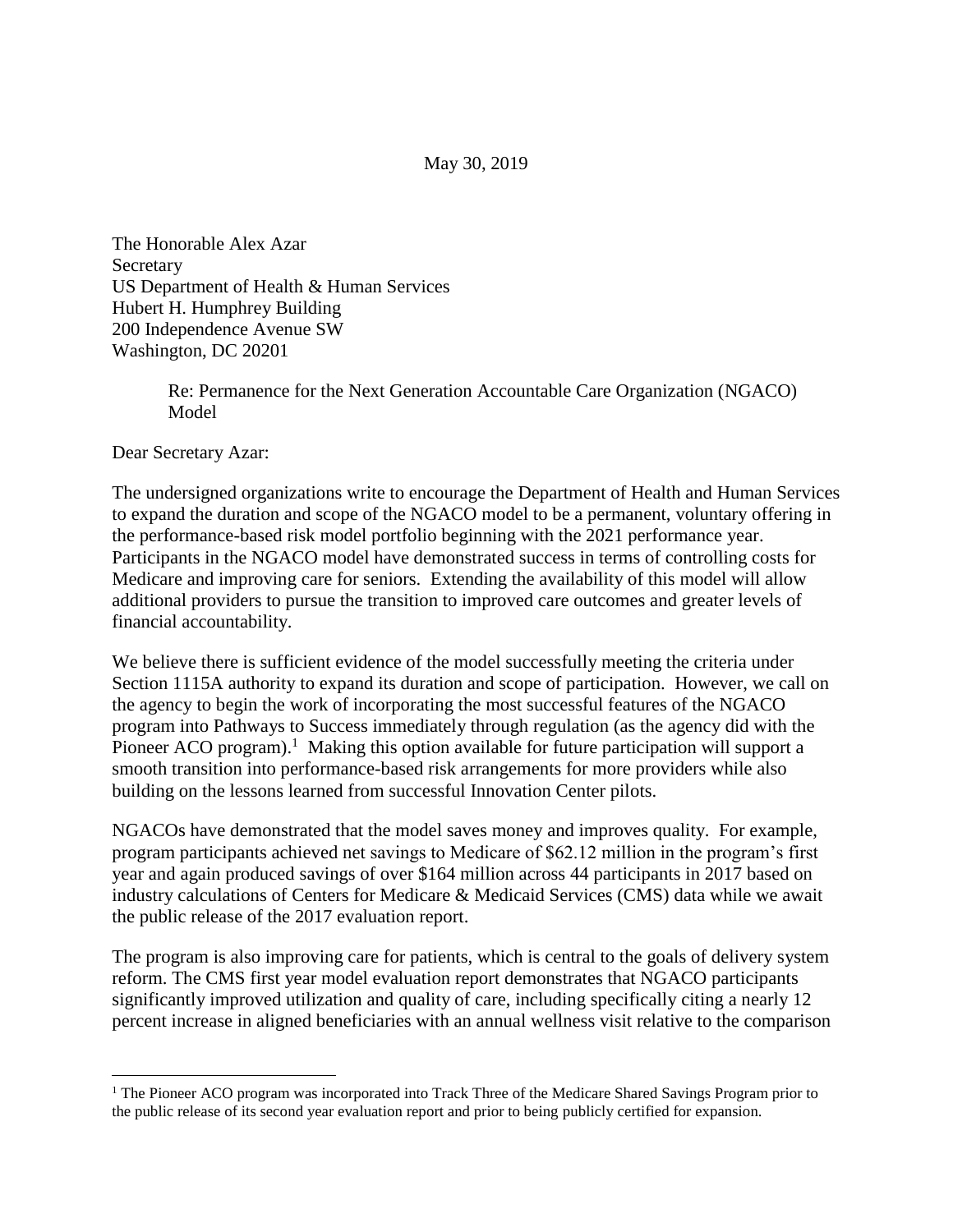May 30, 2019

The Honorable Alex Azar Secretary US Department of Health & Human Services Hubert H. Humphrey Building 200 Independence Avenue SW Washington, DC 20201

> Re: Permanence for the Next Generation Accountable Care Organization (NGACO) Model

Dear Secretary Azar:

 $\overline{a}$ 

The undersigned organizations write to encourage the Department of Health and Human Services to expand the duration and scope of the NGACO model to be a permanent, voluntary offering in the performance-based risk model portfolio beginning with the 2021 performance year. Participants in the NGACO model have demonstrated success in terms of controlling costs for Medicare and improving care for seniors. Extending the availability of this model will allow additional providers to pursue the transition to improved care outcomes and greater levels of financial accountability.

We believe there is sufficient evidence of the model successfully meeting the criteria under Section 1115A authority to expand its duration and scope of participation. However, we call on the agency to begin the work of incorporating the most successful features of the NGACO program into Pathways to Success immediately through regulation (as the agency did with the Pioneer ACO program).<sup>1</sup> Making this option available for future participation will support a smooth transition into performance-based risk arrangements for more providers while also building on the lessons learned from successful Innovation Center pilots.

NGACOs have demonstrated that the model saves money and improves quality. For example, program participants achieved net savings to Medicare of \$62.12 million in the program's first year and again produced savings of over \$164 million across 44 participants in 2017 based on industry calculations of Centers for Medicare & Medicaid Services (CMS) data while we await the public release of the 2017 evaluation report.

The program is also improving care for patients, which is central to the goals of delivery system reform. The CMS first year model evaluation report demonstrates that NGACO participants significantly improved utilization and quality of care, including specifically citing a nearly 12 percent increase in aligned beneficiaries with an annual wellness visit relative to the comparison

<sup>&</sup>lt;sup>1</sup> The Pioneer ACO program was incorporated into Track Three of the Medicare Shared Savings Program prior to the public release of its second year evaluation report and prior to being publicly certified for expansion.